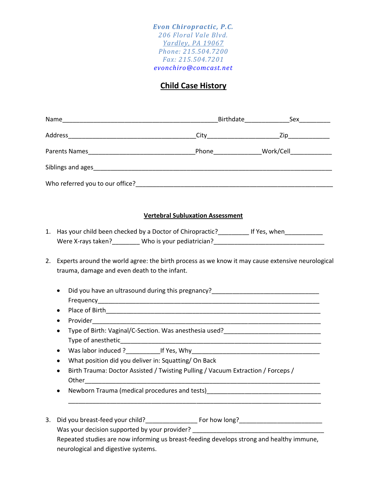*Evon Chiropractic, P.C. 206 Floral Vale Blvd. Yardley, PA 19067 Phone: 215.504.7200 Fax: 215.504.7201 evonchiro@comcast.net*

## **Child Case History**

|                                                                                                                                                                                                                                                                                                                                                                                                                                                                                                                                                                                                                                                                                                                                                                   |                                         | _Birthdate____________________Sex____________ |
|-------------------------------------------------------------------------------------------------------------------------------------------------------------------------------------------------------------------------------------------------------------------------------------------------------------------------------------------------------------------------------------------------------------------------------------------------------------------------------------------------------------------------------------------------------------------------------------------------------------------------------------------------------------------------------------------------------------------------------------------------------------------|-----------------------------------------|-----------------------------------------------|
|                                                                                                                                                                                                                                                                                                                                                                                                                                                                                                                                                                                                                                                                                                                                                                   |                                         |                                               |
|                                                                                                                                                                                                                                                                                                                                                                                                                                                                                                                                                                                                                                                                                                                                                                   |                                         |                                               |
|                                                                                                                                                                                                                                                                                                                                                                                                                                                                                                                                                                                                                                                                                                                                                                   |                                         |                                               |
|                                                                                                                                                                                                                                                                                                                                                                                                                                                                                                                                                                                                                                                                                                                                                                   |                                         |                                               |
|                                                                                                                                                                                                                                                                                                                                                                                                                                                                                                                                                                                                                                                                                                                                                                   | <b>Vertebral Subluxation Assessment</b> |                                               |
| Has your child been checked by a Doctor of Chiropractic?_____________ If Yes, when________________<br>1.<br>Were X-rays taken?_________ Who is your pediatrician?____________________________                                                                                                                                                                                                                                                                                                                                                                                                                                                                                                                                                                     |                                         |                                               |
| Experts around the world agree: the birth process as we know it may cause extensive neurological<br>2.<br>trauma, damage and even death to the infant.<br>Did you have an ultrasound during this pregnancy?_______________________________<br>$\bullet$<br>٠<br>٠<br>٠<br>Was labor induced ? ______________If Yes, Why___________________________________<br>$\bullet$<br>What position did you deliver in: Squatting/On Back<br>Birth Trauma: Doctor Assisted / Twisting Pulling / Vacuum Extraction / Forceps /<br>$\bullet$<br>Newborn Trauma (medical procedures and tests) Manuscriptus and the control of the control of the control of the control of the control of the control of the control of the control of the control of the control of the contr |                                         |                                               |
| Was your decision supported by your provider? __________________________________<br>Repeated studies are now informing us breast-feeding develops strong and healthy immune,<br>neurological and digestive systems.                                                                                                                                                                                                                                                                                                                                                                                                                                                                                                                                               |                                         |                                               |